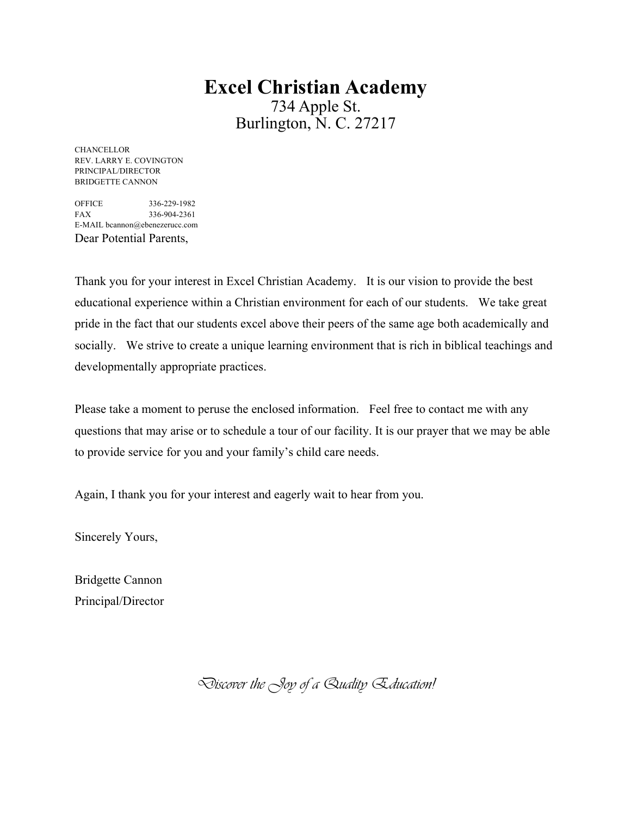# **Excel Christian Academy** 734 Apple St. Burlington, N. C. 27217

**CHANCELLOR** REV. LARRY E. COVINGTON PRINCIPAL/DIRECTOR BRIDGETTE CANNON

OFFICE 336-229-1982 FAX 336-904-2361 E-MAIL bcannon@ebenezerucc.com Dear Potential Parents,

Thank you for your interest in Excel Christian Academy. It is our vision to provide the best educational experience within a Christian environment for each of our students. We take great pride in the fact that our students excel above their peers of the same age both academically and socially. We strive to create a unique learning environment that is rich in biblical teachings and developmentally appropriate practices.

Please take a moment to peruse the enclosed information. Feel free to contact me with any questions that may arise or to schedule a tour of our facility. It is our prayer that we may be able to provide service for you and your family's child care needs.

Again, I thank you for your interest and eagerly wait to hear from you.

Sincerely Yours,

Bridgette Cannon Principal/Director

Discover the Joy of a Quality Education!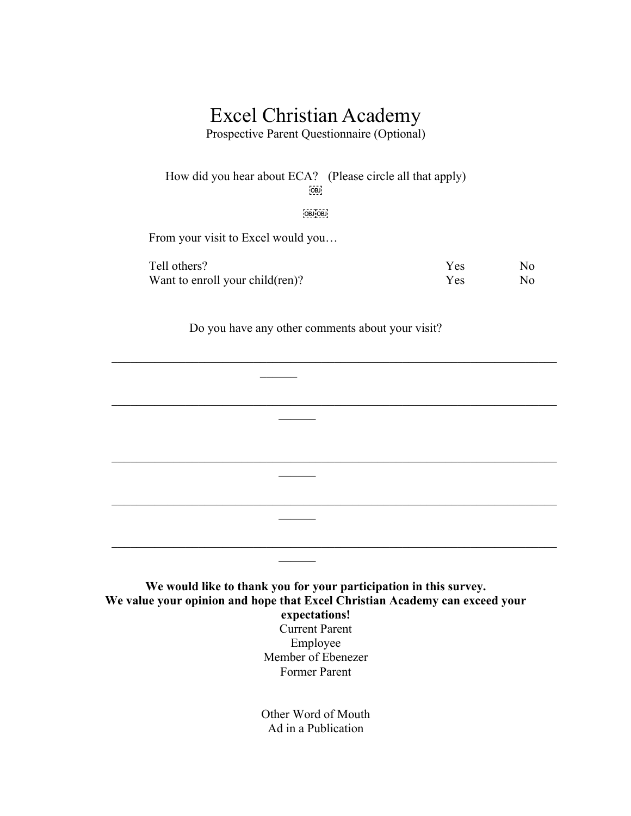# Excel Christian Academy

Prospective Parent Questionnaire (Optional)

How did you hear about ECA? (Please circle all that apply) OBJ

 $OBJOBJ$ 

From your visit to Excel would you…

| Tell others?                    | <b>Yes</b> | No. |
|---------------------------------|------------|-----|
| Want to enroll your child(ren)? | Yes.       | No. |

Do you have any other comments about your visit?

 $\overline{\phantom{a}}$ 

 $\frac{1}{2}$ 

**We would like to thank you for your participation in this survey. We value your opinion and hope that Excel Christian Academy can exceed your expectations!** Current Parent Employee Member of Ebenezer Former Parent

Other Word of Mouth Ad in a Publication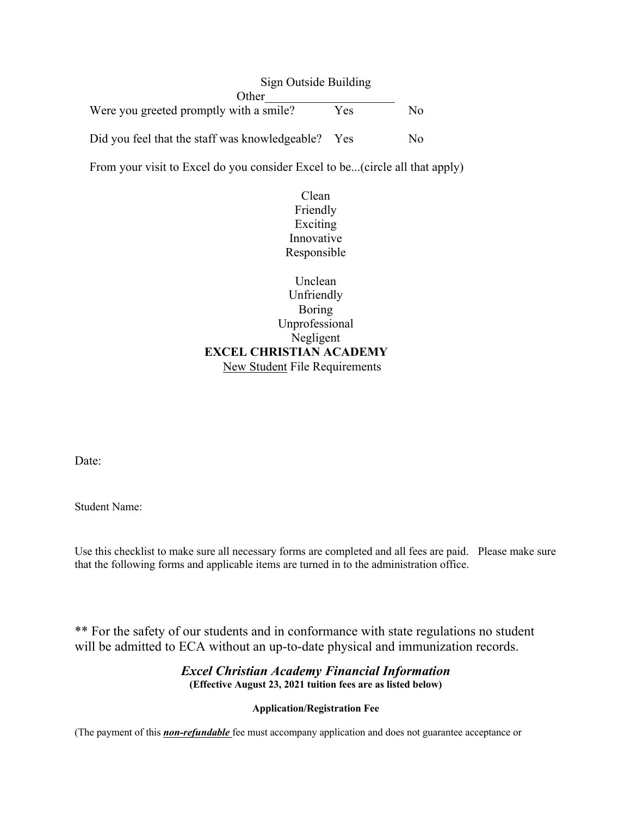Sign Outside Building Other\_\_\_\_\_\_\_\_\_\_\_\_\_\_\_\_\_\_\_\_\_ Were you greeted promptly with a smile? Yes No Did you feel that the staff was knowledgeable? Yes No

From your visit to Excel do you consider Excel to be...(circle all that apply)

Clean Friendly Exciting Innovative Responsible

Unclean Unfriendly Boring Unprofessional Negligent **EXCEL CHRISTIAN ACADEMY**  New Student File Requirements

Date:

Student Name:

Use this checklist to make sure all necessary forms are completed and all fees are paid. Please make sure that the following forms and applicable items are turned in to the administration office.

\*\* For the safety of our students and in conformance with state regulations no student will be admitted to ECA without an up-to-date physical and immunization records.

# *Excel Christian Academy Financial Information* **(Effective August 23, 2021 tuition fees are as listed below)**

# **Application/Registration Fee**

(The payment of this *non-refundable* fee must accompany application and does not guarantee acceptance or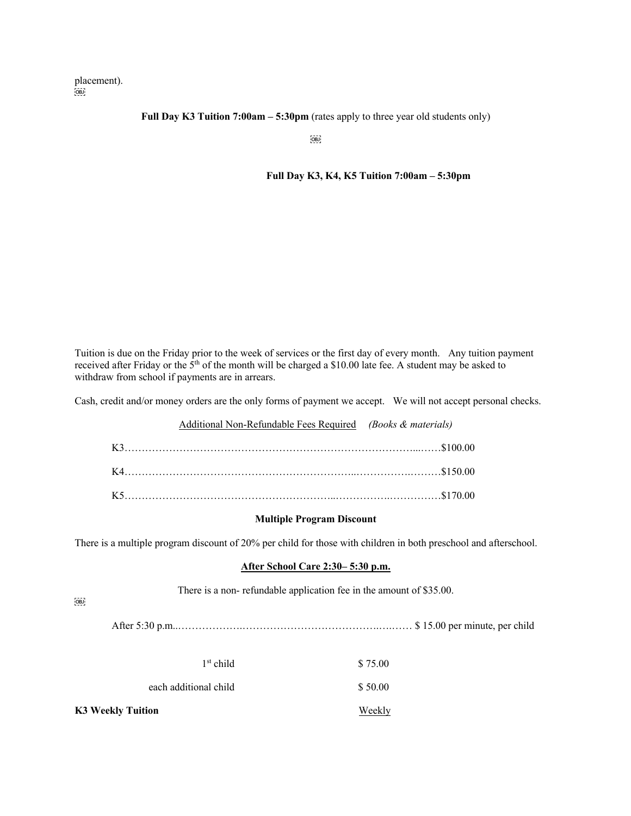placement).  $OBD$ 

#### **Full Day K3 Tuition 7:00am – 5:30pm** (rates apply to three year old students only)

 $[OBJ]$ 

#### **Full Day K3, K4, K5 Tuition 7:00am – 5:30pm**

Tuition is due on the Friday prior to the week of services or the first day of every month. Any tuition payment received after Friday or the 5<sup>th</sup> of the month will be charged a \$10.00 late fee. A student may be asked to withdraw from school if payments are in arrears.

Cash, credit and/or money orders are the only forms of payment we accept. We will not accept personal checks.

| Additional Non-Refundable Fees Required (Books & materials) |  |
|-------------------------------------------------------------|--|
|                                                             |  |
|                                                             |  |
|                                                             |  |

#### **Multiple Program Discount**

There is a multiple program discount of 20% per child for those with children in both preschool and afterschool.

#### **After School Care 2:30– 5:30 p.m.**

There is a non- refundable application fee in the amount of \$35.00.

 $\overline{\text{OBI}}$ 

After 5:30 p.m..……………….………………………………….….…… \$ 15.00 per minute, per child

| K3 Weekly Tuition     | Weekly  |
|-----------------------|---------|
| each additional child | \$50.00 |
| $1st$ child           | \$75.00 |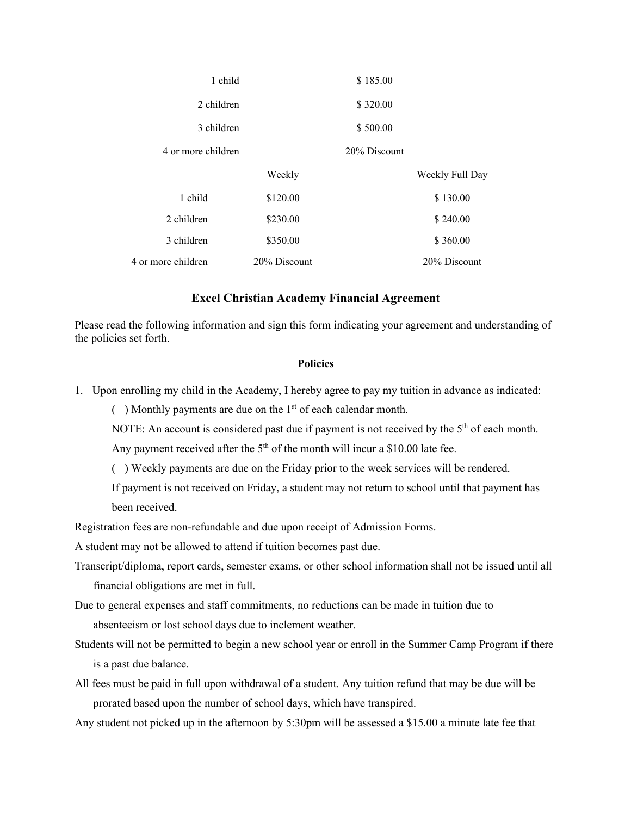| 1 child            |              | \$185.00     |                 |
|--------------------|--------------|--------------|-----------------|
| 2 children         |              | \$320.00     |                 |
| 3 children         |              | \$500.00     |                 |
| 4 or more children |              | 20% Discount |                 |
|                    | Weekly       |              | Weekly Full Day |
| 1 child            | \$120.00     |              | \$130.00        |
| 2 children         | \$230.00     |              | \$240.00        |
| 3 children         | \$350.00     |              | \$360.00        |
| 4 or more children | 20% Discount |              | 20% Discount    |

## **Excel Christian Academy Financial Agreement**

Please read the following information and sign this form indicating your agreement and understanding of the policies set forth.

### **Policies**

1. Upon enrolling my child in the Academy, I hereby agree to pay my tuition in advance as indicated:

( $\blacksquare$ ) Monthly payments are due on the 1<sup>st</sup> of each calendar month.

NOTE: An account is considered past due if payment is not received by the  $5<sup>th</sup>$  of each month.

Any payment received after the  $5<sup>th</sup>$  of the month will incur a \$10.00 late fee.

( ) Weekly payments are due on the Friday prior to the week services will be rendered.

If payment is not received on Friday, a student may not return to school until that payment has been received.

Registration fees are non-refundable and due upon receipt of Admission Forms.

A student may not be allowed to attend if tuition becomes past due.

- Transcript/diploma, report cards, semester exams, or other school information shall not be issued until all financial obligations are met in full.
- Due to general expenses and staff commitments, no reductions can be made in tuition due to absenteeism or lost school days due to inclement weather.
- Students will not be permitted to begin a new school year or enroll in the Summer Camp Program if there is a past due balance.
- All fees must be paid in full upon withdrawal of a student. Any tuition refund that may be due will be prorated based upon the number of school days, which have transpired.
- Any student not picked up in the afternoon by 5:30pm will be assessed a \$15.00 a minute late fee that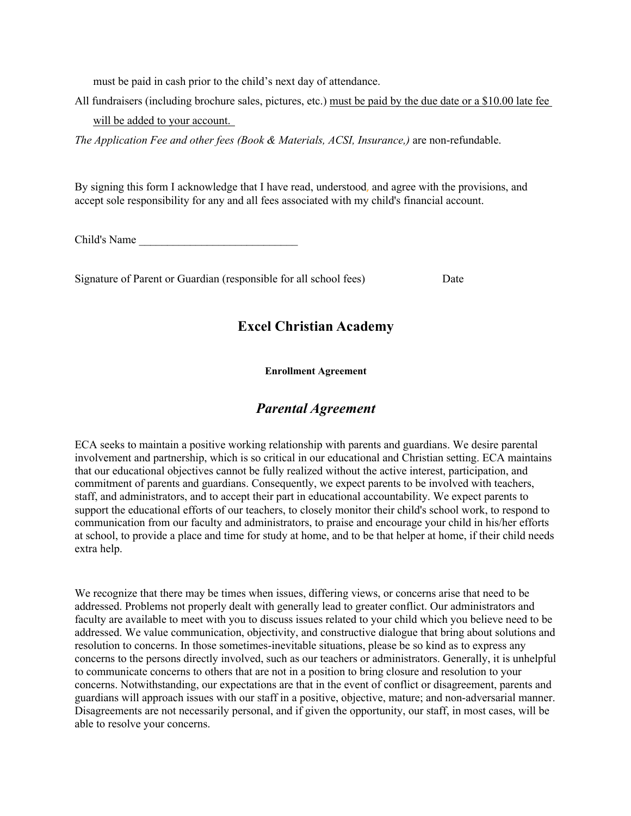must be paid in cash prior to the child's next day of attendance.

All fundraisers (including brochure sales, pictures, etc.) must be paid by the due date or a \$10.00 late fee will be added to your account.

*The Application Fee and other fees (Book & Materials, ACSI, Insurance,)* are non-refundable.

By signing this form I acknowledge that I have read, understood, and agree with the provisions, and accept sole responsibility for any and all fees associated with my child's financial account.

Child's Name \_\_\_\_\_\_\_\_\_\_\_\_\_\_\_\_\_\_\_\_\_\_\_\_\_\_\_\_

Signature of Parent or Guardian (responsible for all school fees) Date

# **Excel Christian Academy**

**Enrollment Agreement**

# *Parental Agreement*

ECA seeks to maintain a positive working relationship with parents and guardians. We desire parental involvement and partnership, which is so critical in our educational and Christian setting. ECA maintains that our educational objectives cannot be fully realized without the active interest, participation, and commitment of parents and guardians. Consequently, we expect parents to be involved with teachers, staff, and administrators, and to accept their part in educational accountability. We expect parents to support the educational efforts of our teachers, to closely monitor their child's school work, to respond to communication from our faculty and administrators, to praise and encourage your child in his/her efforts at school, to provide a place and time for study at home, and to be that helper at home, if their child needs extra help.

We recognize that there may be times when issues, differing views, or concerns arise that need to be addressed. Problems not properly dealt with generally lead to greater conflict. Our administrators and faculty are available to meet with you to discuss issues related to your child which you believe need to be addressed. We value communication, objectivity, and constructive dialogue that bring about solutions and resolution to concerns. In those sometimes-inevitable situations, please be so kind as to express any concerns to the persons directly involved, such as our teachers or administrators. Generally, it is unhelpful to communicate concerns to others that are not in a position to bring closure and resolution to your concerns. Notwithstanding, our expectations are that in the event of conflict or disagreement, parents and guardians will approach issues with our staff in a positive, objective, mature; and non-adversarial manner. Disagreements are not necessarily personal, and if given the opportunity, our staff, in most cases, will be able to resolve your concerns.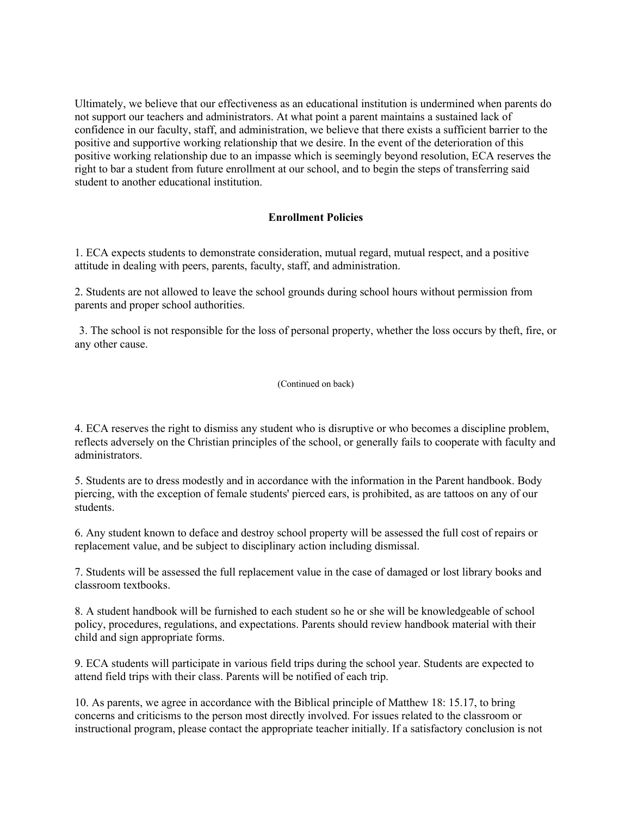Ultimately, we believe that our effectiveness as an educational institution is undermined when parents do not support our teachers and administrators. At what point a parent maintains a sustained lack of confidence in our faculty, staff, and administration, we believe that there exists a sufficient barrier to the positive and supportive working relationship that we desire. In the event of the deterioration of this positive working relationship due to an impasse which is seemingly beyond resolution, ECA reserves the right to bar a student from future enrollment at our school, and to begin the steps of transferring said student to another educational institution.

## **Enrollment Policies**

1. ECA expects students to demonstrate consideration, mutual regard, mutual respect, and a positive attitude in dealing with peers, parents, faculty, staff, and administration.

2. Students are not allowed to leave the school grounds during school hours without permission from parents and proper school authorities.

3. The school is not responsible for the loss of personal property, whether the loss occurs by theft, fire, or any other cause.

#### (Continued on back)

4. ECA reserves the right to dismiss any student who is disruptive or who becomes a discipline problem, reflects adversely on the Christian principles of the school, or generally fails to cooperate with faculty and administrators.

5. Students are to dress modestly and in accordance with the information in the Parent handbook. Body piercing, with the exception of female students' pierced ears, is prohibited, as are tattoos on any of our students.

6. Any student known to deface and destroy school property will be assessed the full cost of repairs or replacement value, and be subject to disciplinary action including dismissal.

7. Students will be assessed the full replacement value in the case of damaged or lost library books and classroom textbooks.

8. A student handbook will be furnished to each student so he or she will be knowledgeable of school policy, procedures, regulations, and expectations. Parents should review handbook material with their child and sign appropriate forms.

9. ECA students will participate in various field trips during the school year. Students are expected to attend field trips with their class. Parents will be notified of each trip.

10. As parents, we agree in accordance with the Biblical principle of Matthew 18: 15.17, to bring concerns and criticisms to the person most directly involved. For issues related to the classroom or instructional program, please contact the appropriate teacher initially. If a satisfactory conclusion is not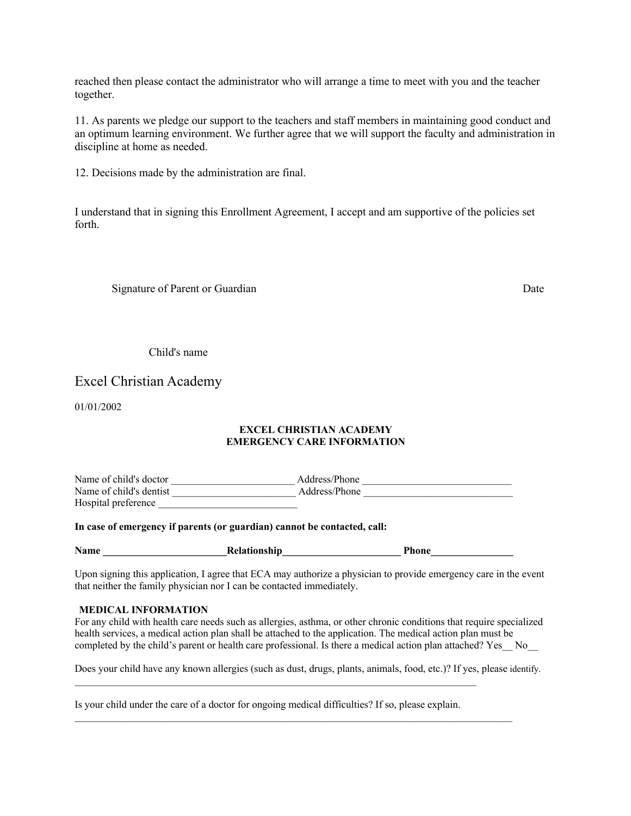reached then please contact the administrator who will arrange a time to meet with you and the teacher together.

11. As parents we pledge our support to the teachers and staff members in maintaining good conduct and an optimum learning environment. We further agree that we will support the faculty and administration in discipline at home as needed.

12. Decisions made by the administration are final.

I understand that in signing this Enrollment Agreement, I accept and am supportive of the policies set forth.

Signature of Parent or Guardian Date of Parent or Guardian Date of Parent or Guardian Date

Child's name

# Excel Christian Academy

01/01/2002

#### **EXCEL CHRISTIAN ACADEMY EMERGENCY CARE INFORMATION**

Name of child's doctor example and a discussion of child's doctor and a set of child's doctor Name of child's dentist example and the Address/Phone  $\blacksquare$ Hospital preference

#### **In case of emergency if parents (or guardian) cannot be contacted, call:**

| <b>Name</b> | <b>Relationship</b> | Phone |  |
|-------------|---------------------|-------|--|
|-------------|---------------------|-------|--|

Upon signing this application, I agree that ECA may authorize a physician to provide emergency care in the event that neither the family physician nor I can be contacted immediately.

#### **MEDICAL INFORMATION**

For any child with health care needs such as allergies, asthma, or other chronic conditions that require specialized health services, a medical action plan shall be attached to the application. The medical action plan must be completed by the child's parent or health care professional. Is there a medical action plan attached? Yes No

Does your child have any known allergies (such as dust, drugs, plants, animals, food, etc.)? If yes, please identify.

Is your child under the care of a doctor for ongoing medical difficulties? If so, please explain.

 $\mathcal{L}_\mathcal{L} = \{ \mathcal{L}_\mathcal{L} = \{ \mathcal{L}_\mathcal{L} = \{ \mathcal{L}_\mathcal{L} = \{ \mathcal{L}_\mathcal{L} = \{ \mathcal{L}_\mathcal{L} = \{ \mathcal{L}_\mathcal{L} = \{ \mathcal{L}_\mathcal{L} = \{ \mathcal{L}_\mathcal{L} = \{ \mathcal{L}_\mathcal{L} = \{ \mathcal{L}_\mathcal{L} = \{ \mathcal{L}_\mathcal{L} = \{ \mathcal{L}_\mathcal{L} = \{ \mathcal{L}_\mathcal{L} = \{ \mathcal{L}_\mathcal{$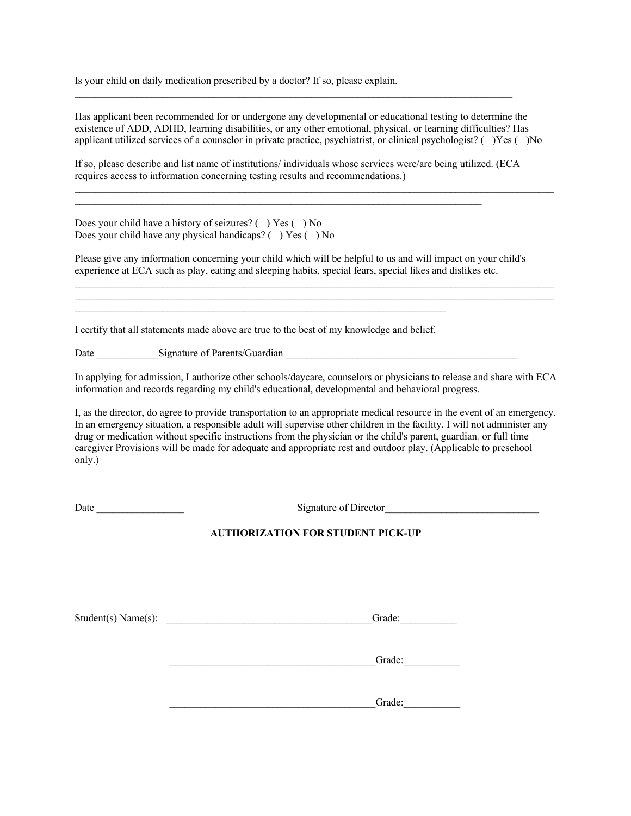Is your child on daily medication prescribed by a doctor? If so, please explain.

Has applicant been recommended for or undergone any developmental or educational testing to determine the existence of ADD, ADHD, learning disabilities, or any other emotional, physical, or learning difficulties? Has applicant utilized services of a counselor in private practice, psychiatrist, or clinical psychologist? ( )Yes ( )No

 $\mathcal{L}_\mathcal{L} = \mathcal{L}_\mathcal{L} = \mathcal{L}_\mathcal{L} = \mathcal{L}_\mathcal{L} = \mathcal{L}_\mathcal{L} = \mathcal{L}_\mathcal{L} = \mathcal{L}_\mathcal{L} = \mathcal{L}_\mathcal{L} = \mathcal{L}_\mathcal{L} = \mathcal{L}_\mathcal{L} = \mathcal{L}_\mathcal{L} = \mathcal{L}_\mathcal{L} = \mathcal{L}_\mathcal{L} = \mathcal{L}_\mathcal{L} = \mathcal{L}_\mathcal{L} = \mathcal{L}_\mathcal{L} = \mathcal{L}_\mathcal{L}$ 

If so, please describe and list name of institutions/ individuals whose services were/are being utilized. (ECA requires access to information concerning testing results and recommendations.)

 $\mathcal{L}_\mathcal{L} = \mathcal{L}_\mathcal{L} = \mathcal{L}_\mathcal{L} = \mathcal{L}_\mathcal{L} = \mathcal{L}_\mathcal{L} = \mathcal{L}_\mathcal{L} = \mathcal{L}_\mathcal{L} = \mathcal{L}_\mathcal{L} = \mathcal{L}_\mathcal{L} = \mathcal{L}_\mathcal{L} = \mathcal{L}_\mathcal{L} = \mathcal{L}_\mathcal{L} = \mathcal{L}_\mathcal{L} = \mathcal{L}_\mathcal{L} = \mathcal{L}_\mathcal{L} = \mathcal{L}_\mathcal{L} = \mathcal{L}_\mathcal{L}$ 

 $\mathcal{L}_\mathcal{L} = \mathcal{L}_\mathcal{L} = \mathcal{L}_\mathcal{L} = \mathcal{L}_\mathcal{L} = \mathcal{L}_\mathcal{L} = \mathcal{L}_\mathcal{L} = \mathcal{L}_\mathcal{L} = \mathcal{L}_\mathcal{L} = \mathcal{L}_\mathcal{L} = \mathcal{L}_\mathcal{L} = \mathcal{L}_\mathcal{L} = \mathcal{L}_\mathcal{L} = \mathcal{L}_\mathcal{L} = \mathcal{L}_\mathcal{L} = \mathcal{L}_\mathcal{L} = \mathcal{L}_\mathcal{L} = \mathcal{L}_\mathcal{L}$ 

Does your child have a history of seizures? ( ) Yes ( ) No Does your child have any physical handicaps? ( ) Yes ( ) No

Please give any information concerning your child which will be helpful to us and will impact on your child's experience at ECA such as play, eating and sleeping habits, special fears, special likes and dislikes etc.

 $\mathcal{L}_\mathcal{L} = \mathcal{L}_\mathcal{L} = \mathcal{L}_\mathcal{L} = \mathcal{L}_\mathcal{L} = \mathcal{L}_\mathcal{L} = \mathcal{L}_\mathcal{L} = \mathcal{L}_\mathcal{L} = \mathcal{L}_\mathcal{L} = \mathcal{L}_\mathcal{L} = \mathcal{L}_\mathcal{L} = \mathcal{L}_\mathcal{L} = \mathcal{L}_\mathcal{L} = \mathcal{L}_\mathcal{L} = \mathcal{L}_\mathcal{L} = \mathcal{L}_\mathcal{L} = \mathcal{L}_\mathcal{L} = \mathcal{L}_\mathcal{L}$ 

I certify that all statements made above are true to the best of my knowledge and belief.

 $\mathcal{L}_\text{max} = \frac{1}{2} \sum_{i=1}^n \mathcal{L}_\text{max} = \frac{1}{2} \sum_{i=1}^n \mathcal{L}_\text{max} = \frac{1}{2} \sum_{i=1}^n \mathcal{L}_\text{max} = \frac{1}{2} \sum_{i=1}^n \mathcal{L}_\text{max} = \frac{1}{2} \sum_{i=1}^n \mathcal{L}_\text{max} = \frac{1}{2} \sum_{i=1}^n \mathcal{L}_\text{max} = \frac{1}{2} \sum_{i=1}^n \mathcal{L}_\text{max} = \frac{1}{2} \sum_{i=$ 

Date Signature of Parents/Guardian  $\Box$ 

In applying for admission, I authorize other schools/daycare, counselors or physicians to release and share with ECA information and records regarding my child's educational, developmental and behavioral progress.

I, as the director, do agree to provide transportation to an appropriate medical resource in the event of an emergency. In an emergency situation, a responsible adult will supervise other children in the facility. I will not administer any drug or medication without specific instructions from the physician or the child's parent, guardian, or full time caregiver Provisions will be made for adequate and appropriate rest and outdoor play. (Applicable to preschool only.)

Date **Director** Signature of Director

## **AUTHORIZATION FOR STUDENT PICK-UP**

Student(s) Name(s): \_\_\_\_\_\_\_\_\_\_\_\_\_\_\_\_\_\_\_\_\_\_\_\_\_\_\_\_\_\_\_\_\_\_\_\_\_\_\_\_Grade:\_\_\_\_\_\_\_\_\_\_\_

 $Grade:$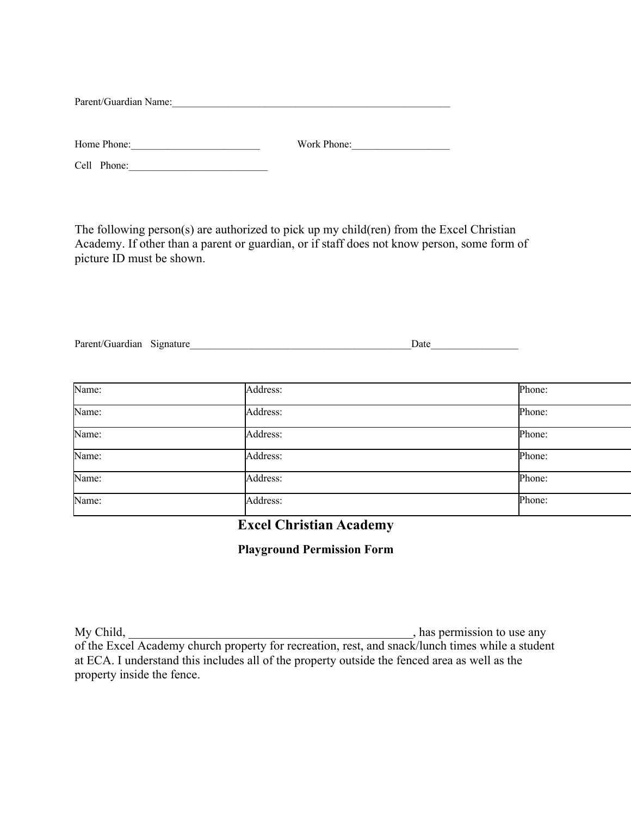Parent/Guardian Name:

| Home Phone: | Work Phone: |
|-------------|-------------|
|             |             |

Cell Phone:\_\_\_\_\_\_\_\_\_\_\_\_\_\_\_\_\_\_\_\_\_\_\_\_\_\_\_

The following person(s) are authorized to pick up my child(ren) from the Excel Christian Academy. If other than a parent or guardian, or if staff does not know person, some form of picture ID must be shown.

| Parent/Guardian Signature | Date |
|---------------------------|------|
|                           |      |

| Name: | Address: | Phone: |
|-------|----------|--------|
| Name: | Address: | Phone: |
| Name: | Address: | Phone: |
| Name: | Address: | Phone: |
| Name: | Address: | Phone: |
| Name: | Address: | Phone: |

**Excel Christian Academy**

# **Playground Permission Form**

My Child, <u>the contract of the contract of the contract of the contract of the contract of the contract of the contract of the contract of the contract of the contract of the contract of the contract of the contract of the</u> of the Excel Academy church property for recreation, rest, and snack/lunch times while a student at ECA. I understand this includes all of the property outside the fenced area as well as the property inside the fence.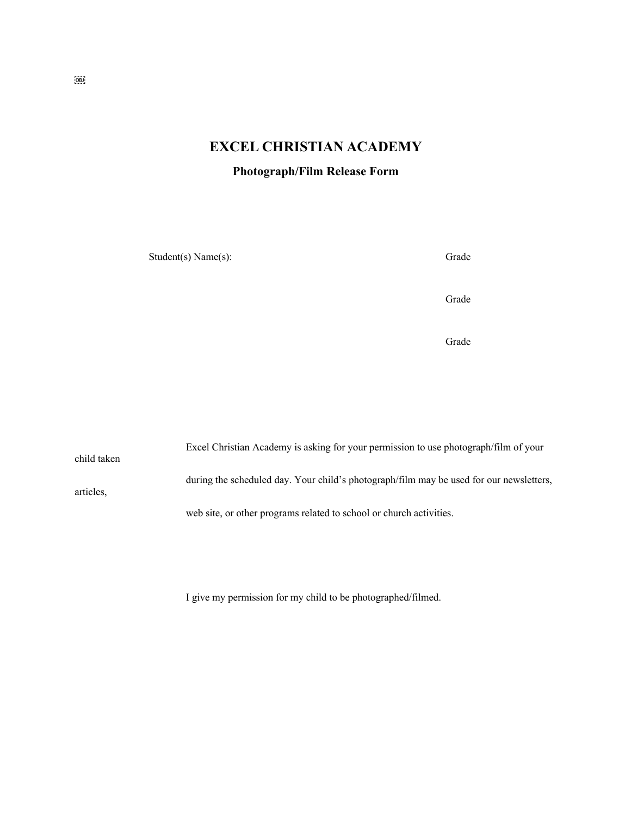# **EXCEL CHRISTIAN ACADEMY**

**Photograph/Film Release Form**

Student(s) Name(s): Grade

Grade

**Grade** 

Excel Christian Academy is asking for your permission to use photograph/film of your child taken during the scheduled day. Your child's photograph/film may be used for our newsletters, articles, web site, or other programs related to school or church activities.

I give my permission for my child to be photographed/filmed.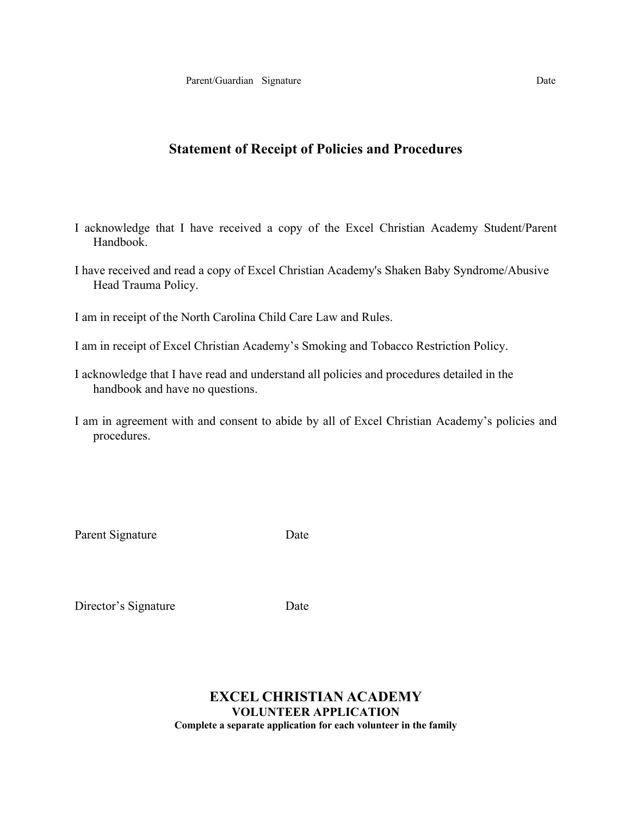# **Statement of Receipt of Policies and Procedures**

- I acknowledge that I have received a copy of the Excel Christian Academy Student/Parent Handbook.
- I have received and read a copy of Excel Christian Academy's Shaken Baby Syndrome/Abusive Head Trauma Policy.

I am in receipt of the North Carolina Child Care Law and Rules.

- I am in receipt of Excel Christian Academy's Smoking and Tobacco Restriction Policy.
- I acknowledge that I have read and understand all policies and procedures detailed in the handbook and have no questions.
- I am in agreement with and consent to abide by all of Excel Christian Academy's policies and procedures.

Parent Signature Date

Director's Signature Date

# **EXCEL CHRISTIAN ACADEMY VOLUNTEER APPLICATION Complete a separate application for each volunteer in the family**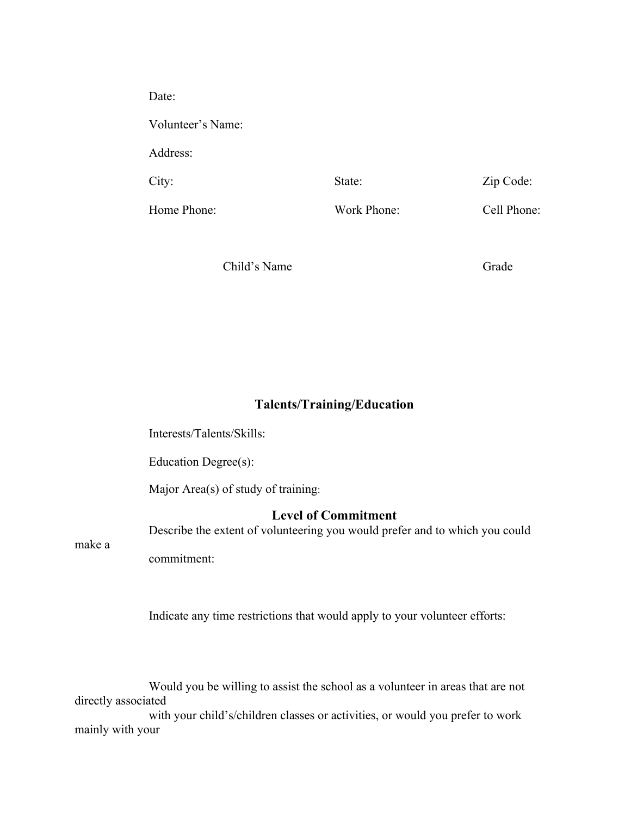| Date:             |             |             |
|-------------------|-------------|-------------|
| Volunteer's Name: |             |             |
| Address:          |             |             |
| City:             | State:      | Zip Code:   |
| Home Phone:       | Work Phone: | Cell Phone: |

Child's Name Grade

# **Talents/Training/Education**

Interests/Talents/Skills:

Education Degree(s):

Major Area(s) of study of training:

# **Level of Commitment**

Describe the extent of volunteering you would prefer and to which you could

make a

commitment:

Indicate any time restrictions that would apply to your volunteer efforts:

Would you be willing to assist the school as a volunteer in areas that are not directly associated with your child's/children classes or activities, or would you prefer to work mainly with your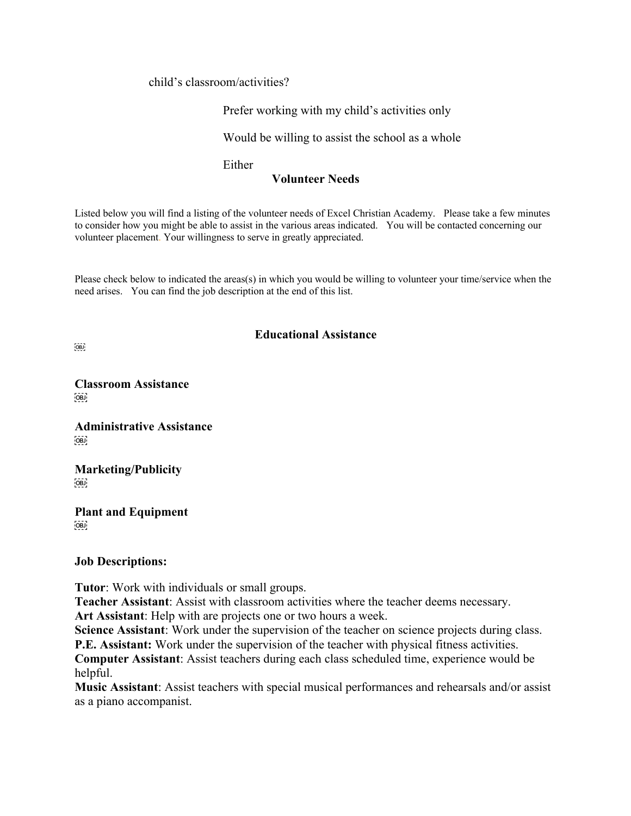child's classroom/activities?

Prefer working with my child's activities only

Would be willing to assist the school as a whole

Either

# **Volunteer Needs**

Listed below you will find a listing of the volunteer needs of Excel Christian Academy. Please take a few minutes to consider how you might be able to assist in the various areas indicated. You will be contacted concerning our volunteer placement. Your willingness to serve in greatly appreciated.

Please check below to indicated the areas(s) in which you would be willing to volunteer your time/service when the need arises. You can find the job description at the end of this list.

# **Educational Assistance**

 $[OB]$ 

**Classroom Assistance**  $OBJ$ 

**Administrative Assistance**  $OBD$ 

**Marketing/Publicity**  $OBD$ 

**Plant and Equipment**  $OBJ$ 

**Job Descriptions:**

**Tutor**: Work with individuals or small groups.

**Teacher Assistant**: Assist with classroom activities where the teacher deems necessary.

**Art Assistant**: Help with are projects one or two hours a week.

**Science Assistant**: Work under the supervision of the teacher on science projects during class. **P.E. Assistant:** Work under the supervision of the teacher with physical fitness activities.

**Computer Assistant**: Assist teachers during each class scheduled time, experience would be helpful.

**Music Assistant**: Assist teachers with special musical performances and rehearsals and/or assist as a piano accompanist.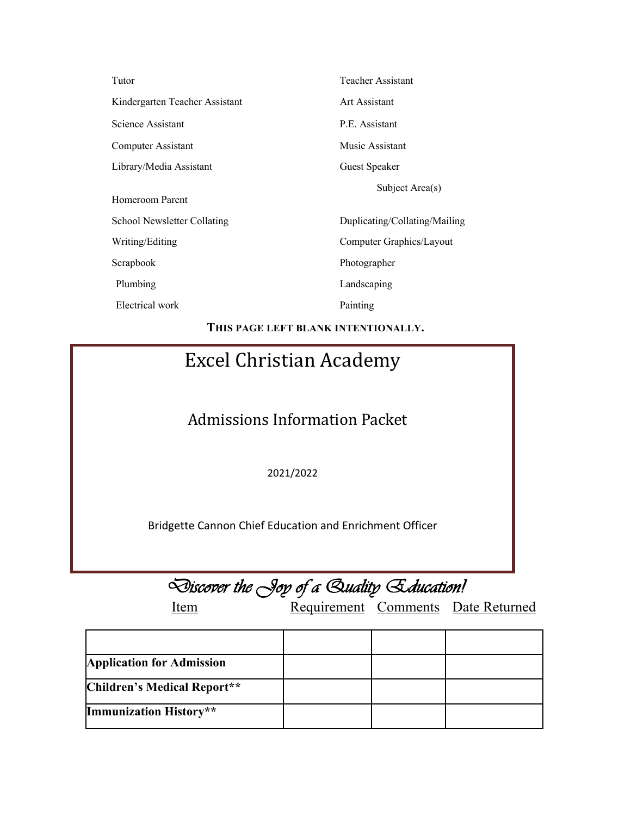| Tutor                          | Teacher Assistant             |
|--------------------------------|-------------------------------|
| Kindergarten Teacher Assistant | Art Assistant                 |
| Science Assistant              | P.E. Assistant                |
| Computer Assistant             | Music Assistant               |
| Library/Media Assistant        | Guest Speaker                 |
| Homeroom Parent                | Subject Area(s)               |
| School Newsletter Collating    | Duplicating/Collating/Mailing |
| Writing/Editing                | Computer Graphics/Layout      |
| Scrapbook                      | Photographer                  |
| Plumbing                       | Landscaping                   |
| Electrical work                | Painting                      |
|                                |                               |

**THIS PAGE LEFT BLANK INTENTIONALLY.**

# Excel Christian Academy

Admissions Information Packet

2021/2022

Bridgette Cannon Chief Education and Enrichment Officer

|  |  |  |  |  | Discover the Joy of a Quality Education! |
|--|--|--|--|--|------------------------------------------|
|--|--|--|--|--|------------------------------------------|

Item Requirement Comments Date Returned

| <b>Application for Admission</b> |  |  |
|----------------------------------|--|--|
| Children's Medical Report**      |  |  |
| Immunization History**           |  |  |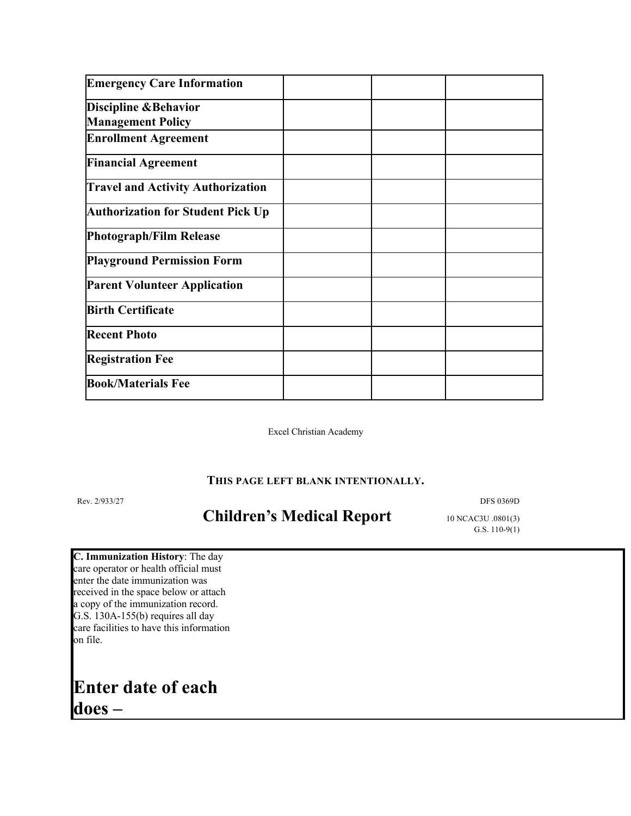| <b>Emergency Care Information</b>        |  |  |
|------------------------------------------|--|--|
| <b>Discipline &amp; Behavior</b>         |  |  |
| <b>Management Policy</b>                 |  |  |
| <b>Enrollment Agreement</b>              |  |  |
| <b>Financial Agreement</b>               |  |  |
| <b>Travel and Activity Authorization</b> |  |  |
| <b>Authorization for Student Pick Up</b> |  |  |
| <b>Photograph/Film Release</b>           |  |  |
| <b>Playground Permission Form</b>        |  |  |
| <b>Parent Volunteer Application</b>      |  |  |
| <b>Birth Certificate</b>                 |  |  |
| <b>Recent Photo</b>                      |  |  |
| <b>Registration Fee</b>                  |  |  |
| <b>Book/Materials Fee</b>                |  |  |

Excel Christian Academy

## **THIS PAGE LEFT BLANK INTENTIONALLY.**

Rev. 2/933/27 DFS 0369D

# Children's Medical Report 10 NCAC3U .0801(3)

G.S. 110-9(1)

**C. Immunization History**: The day care operator or health official must enter the date immunization was received in the space below or attach a copy of the immunization record. G.S. 130A-155(b) requires all day care facilities to have this information on file.

# **Enter date of each does –**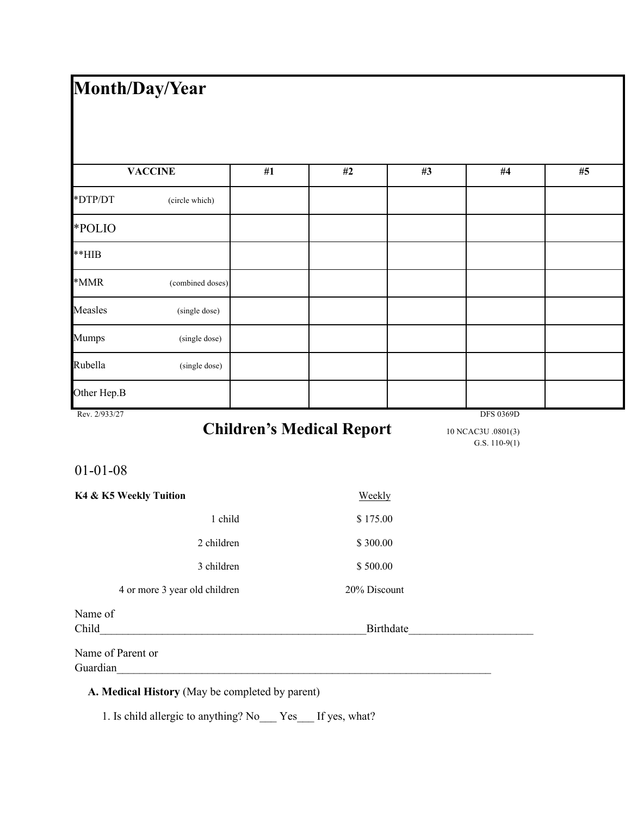# **Month/Day/Year**

|               | <b>VACCINE</b>   | #1 | #2 | #3 | $\#4$            | #5 |
|---------------|------------------|----|----|----|------------------|----|
| *DTP/DT       | (circle which)   |    |    |    |                  |    |
| *POLIO        |                  |    |    |    |                  |    |
| $**HIB$       |                  |    |    |    |                  |    |
| $\,^*$ MMR    | (combined doses) |    |    |    |                  |    |
| Measles       | (single dose)    |    |    |    |                  |    |
| Mumps         | (single dose)    |    |    |    |                  |    |
| Rubella       | (single dose)    |    |    |    |                  |    |
| Other Hep.B   |                  |    |    |    |                  |    |
| Rev. 2/933/27 |                  |    |    |    | <b>DFS 0369D</b> |    |

# Children's Medical Report 10 NCAC3U .0801(3)

G.S. 110-9(1)

# 01-01-08

| K4 & K5 Weekly Tuition        | Weekly       |
|-------------------------------|--------------|
| 1 child                       | \$175.00     |
| 2 children                    | \$300.00     |
| 3 children                    | \$500.00     |
| 4 or more 3 year old children | 20% Discount |
| Name of                       |              |
| Child                         | Birthdate    |
| Name of Parent or             |              |
| Guardian                      |              |

# **A. Medical History** (May be completed by parent)

1. Is child allergic to anything? No\_\_\_ Yes\_\_\_ If yes, what?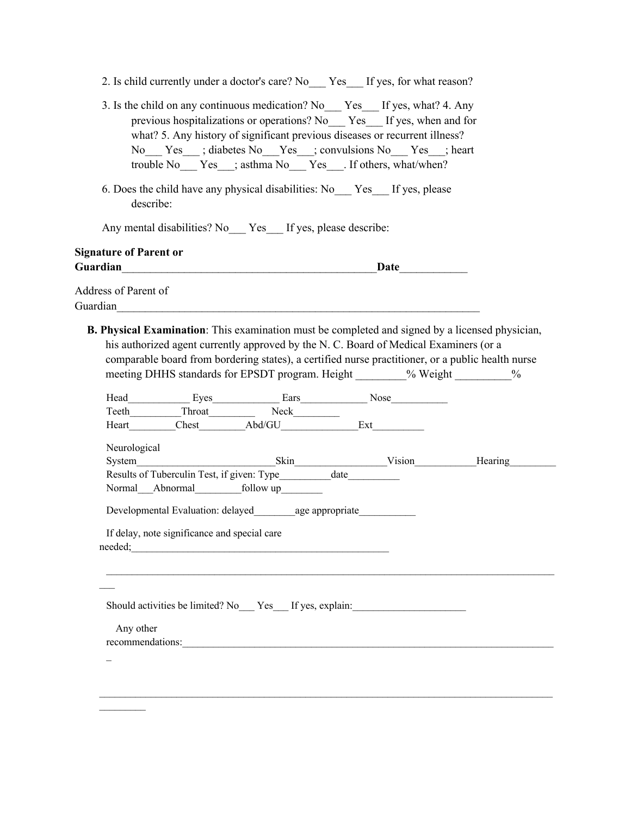|                               |                                              | 2. Is child currently under a doctor's care? No Yes If yes, for what reason?                                                                                                                                                                                                                                                                                  |  |  |
|-------------------------------|----------------------------------------------|---------------------------------------------------------------------------------------------------------------------------------------------------------------------------------------------------------------------------------------------------------------------------------------------------------------------------------------------------------------|--|--|
|                               |                                              | 3. Is the child on any continuous medication? No Yes If yes, what? 4. Any<br>previous hospitalizations or operations? No Yes If yes, when and for<br>what? 5. Any history of significant previous diseases or recurrent illness?<br>No Yes ; diabetes No Yes ; convulsions No Yes ; heart<br>trouble No___ Yes___; asthma No___ Yes___. If others, what/when? |  |  |
| describe:                     |                                              | 6. Does the child have any physical disabilities: No Yes If yes, please                                                                                                                                                                                                                                                                                       |  |  |
|                               |                                              | Any mental disabilities? No ___ Yes ___ If yes, please describe:                                                                                                                                                                                                                                                                                              |  |  |
| <b>Signature of Parent or</b> |                                              |                                                                                                                                                                                                                                                                                                                                                               |  |  |
|                               |                                              |                                                                                                                                                                                                                                                                                                                                                               |  |  |
| Address of Parent of          |                                              |                                                                                                                                                                                                                                                                                                                                                               |  |  |
|                               |                                              | B. Physical Examination: This examination must be completed and signed by a licensed physician,<br>his authorized agent currently approved by the N. C. Board of Medical Examiners (or a                                                                                                                                                                      |  |  |
|                               |                                              | comparable board from bordering states), a certified nurse practitioner, or a public health nurse<br>meeting DHHS standards for EPSDT program. Height % Weight %                                                                                                                                                                                              |  |  |
|                               |                                              |                                                                                                                                                                                                                                                                                                                                                               |  |  |
| Neurological                  |                                              | System Skin Vision Hearing Hearing<br>Results of Tuberculin Test, if given: Type___________ date__________                                                                                                                                                                                                                                                    |  |  |
|                               |                                              |                                                                                                                                                                                                                                                                                                                                                               |  |  |
|                               |                                              | Developmental Evaluation: delayed age appropriate                                                                                                                                                                                                                                                                                                             |  |  |
|                               | If delay, note significance and special care | needed;<br>The contract of the contract of the contract of the contract of the contract of the contract of the contract of the contract of the contract of the contract of the contract of the contract of the contract of the c                                                                                                                              |  |  |
|                               |                                              |                                                                                                                                                                                                                                                                                                                                                               |  |  |
|                               |                                              | Should activities be limited? No Yes If yes, explain:                                                                                                                                                                                                                                                                                                         |  |  |

recommendations:\_\_\_\_\_\_\_\_\_\_\_\_\_\_\_\_\_\_\_\_\_\_\_\_\_\_\_\_\_\_\_\_\_\_\_\_\_\_\_\_\_\_\_\_\_\_\_\_\_\_\_\_\_\_\_\_\_\_\_\_\_\_\_\_\_\_\_\_\_\_\_\_

 $\sim$ 

 $\overline{\phantom{0}}$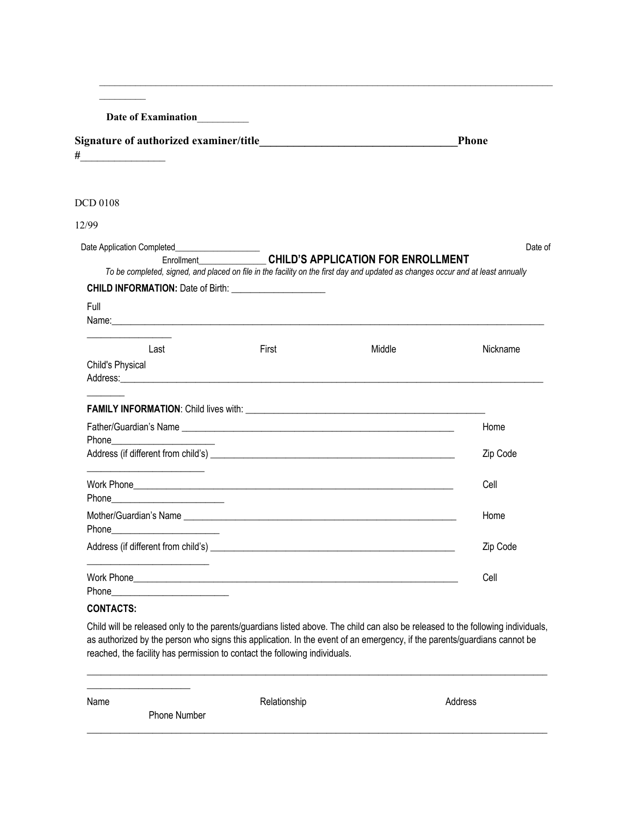**Date of Examination**\_\_\_\_\_\_\_\_\_\_

| Signature of authorized examiner/title | Phone |
|----------------------------------------|-------|
|                                        |       |

 $\mathcal{L}_\mathcal{L} = \mathcal{L}_\mathcal{L} = \mathcal{L}_\mathcal{L} = \mathcal{L}_\mathcal{L} = \mathcal{L}_\mathcal{L} = \mathcal{L}_\mathcal{L} = \mathcal{L}_\mathcal{L} = \mathcal{L}_\mathcal{L} = \mathcal{L}_\mathcal{L} = \mathcal{L}_\mathcal{L} = \mathcal{L}_\mathcal{L} = \mathcal{L}_\mathcal{L} = \mathcal{L}_\mathcal{L} = \mathcal{L}_\mathcal{L} = \mathcal{L}_\mathcal{L} = \mathcal{L}_\mathcal{L} = \mathcal{L}_\mathcal{L}$ 

#### DCD 0108

# 12/99

|                                                                                                                                                                                                                               | Date Application Completed_____________________ |                                                      | Date of  |
|-------------------------------------------------------------------------------------------------------------------------------------------------------------------------------------------------------------------------------|-------------------------------------------------|------------------------------------------------------|----------|
| To be completed, signed, and placed on file in the facility on the first day and updated as changes occur and at least annually                                                                                               |                                                 | Enrollment <b>CHILD'S APPLICATION FOR ENROLLMENT</b> |          |
|                                                                                                                                                                                                                               |                                                 |                                                      |          |
|                                                                                                                                                                                                                               |                                                 |                                                      |          |
| Full                                                                                                                                                                                                                          |                                                 |                                                      |          |
| Name: Name: Name: Name: Name: Name: Name: Name: Name: Name: Name: Name: Name: Name: Name: Name: Name: Name: Name: Name: Name: Name: Name: Name: Name: Name: Name: Name: Name: Name: Name: Name: Name: Name: Name: Name: Name: |                                                 |                                                      |          |
| Last                                                                                                                                                                                                                          | First                                           | Middle                                               | Nickname |
| <b>Child's Physical</b>                                                                                                                                                                                                       |                                                 |                                                      |          |
| Address: National Address: National Address: National Address: National Address: National Address: N                                                                                                                          |                                                 |                                                      |          |
|                                                                                                                                                                                                                               |                                                 |                                                      |          |
|                                                                                                                                                                                                                               |                                                 |                                                      | Zip Code |
|                                                                                                                                                                                                                               |                                                 |                                                      | Cell     |
|                                                                                                                                                                                                                               |                                                 |                                                      |          |
| Phone <b>Proprietion</b>                                                                                                                                                                                                      |                                                 |                                                      | Home     |
|                                                                                                                                                                                                                               |                                                 |                                                      | Zip Code |
|                                                                                                                                                                                                                               |                                                 |                                                      | Cell     |

## **CONTACTS:**

 $\mathcal{L}_\text{max}$  and  $\mathcal{L}_\text{max}$  and  $\mathcal{L}_\text{max}$ 

Child will be released only to the parents/guardians listed above. The child can also be released to the following individuals, as authorized by the person who signs this application. In the event of an emergency, if the parents/guardians cannot be reached, the facility has permission to contact the following individuals.

\_\_\_\_\_\_\_\_\_\_\_\_\_\_\_\_\_\_\_\_\_\_\_\_\_\_\_\_\_\_\_\_\_\_\_\_\_\_\_\_\_\_\_\_\_\_\_\_\_\_\_\_\_\_\_\_\_\_\_\_\_\_\_\_\_\_\_\_\_\_\_\_\_\_\_\_\_\_\_\_\_\_\_\_\_\_\_\_\_\_\_\_\_\_\_\_\_\_

| Name | Phone Number | Relationship | Address |
|------|--------------|--------------|---------|
|      |              |              |         |